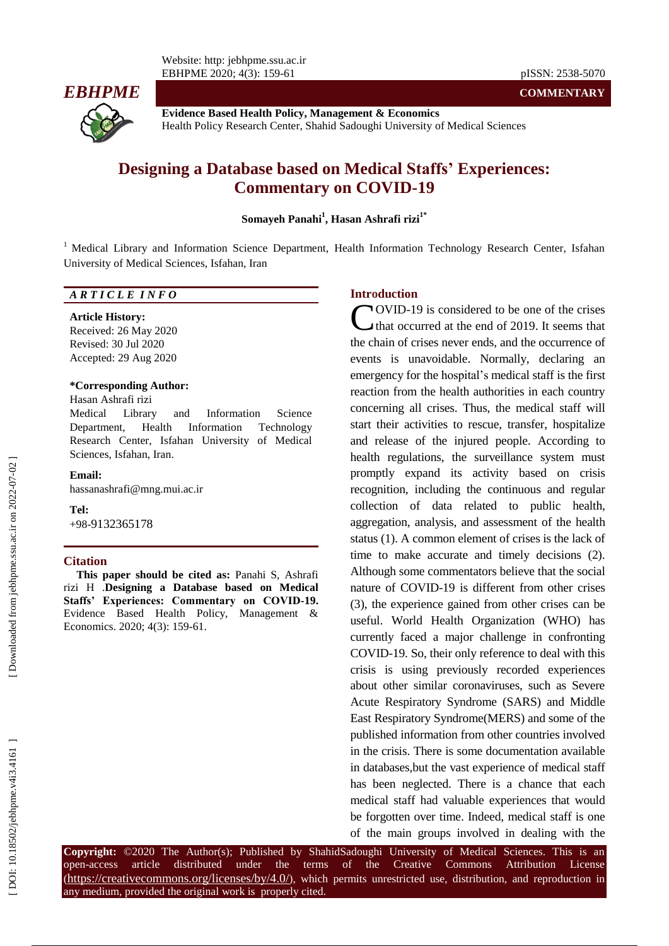Website: http: jebhpme.ssu.ac.ir EBHPME 2020; 4(3): 159



**Evidence Based Health Policy, Management & Economics** Health Policy Research Center, Shahid Sadoughi University of Medical Sciences

# **Designing a Database based on Medical Staffs' Experiences: Commentary on COVID -19**

### **Somayeh Panahi 1 , Hasan Ashrafi rizi 1 \***

<sup>1</sup> Medical Library and Information Science Department, Health Information Technology Research Center, Isfahan University of Medical Sciences, Isfahan, Iran

### *A R T I C L E I N F O*

#### **Article History:**

Received: 26 May 2020 Revised: 30 Jul 2020 Accepted: 29 Aug 2020

#### **\*Corresponding Author:**

#### Hasan Ashrafi rizi

Medical Library and Information Science Department, Health Information Technology Research Center, Isfahan University of Medical Sciences, Isfahan, Iran .

#### **Email:**

hassanashrafi@mng.mui.ac.ir

## **Tel:**

+98 -9132365178

### **Citation**

**This paper should be cited as:** Panahi S, Ashrafi rizi H .**Designing a Database based on Medical Staffs' Experiences: Commentary on COVID -19 .** Evidence Based Health Policy, Management & Economics. 2020; 4(3): 159-61.

### **Intr oduction**

OVID -19 is considered to be one of the crises that occurred at the end of 2019. It seems that the chain of crises never end s , and the occurrence of events is unavoidable. Normally, declaring an emergency for the hospital's medical staff is the first reaction from the health authorities in each country concerning all crises. Thus, the medical staff will start their activities to rescue, transfer, hospitalize and release of the injured people. According to health regulations, the surveillance system must promptly expand its activity based on crisis recognition, including the continuous and regular collection of data related to public health, aggregation, analysis, and assessment of the health status (1). A common element of crises is the lack of time to make accurate and timely decisions (2). Although some commentators believe that the social nature of COVID -19 is different from other crises (3), the experience gained from other crises can be useful. World Health Organization (WHO) has currently faced a major challenge in confronting COVID -19. So, their only reference to deal with this crisis is using previously recorded experiences about other similar coronaviruses, such as Severe Acute Respiratory Syndrome (SARS) and Middle East Respiratory Syndrome(MERS) and some of the published information from other countries involved in the crisis. There is some documentation available in databases,but the vast experience of medical staff has been neglected. There is a chance that each medical staff had valuable experiences that would be forgotten over time. Indeed , medical staff is one **COVID-19** is considered to be one of the crises<br>that occurred at the end of 2019. It seems that<br>the chain of crises never ends, and the occurrence of<br>events is unavoidable. Normally, declaring an<br>erregency for the hospita

**Copyright:** ©2020 The Author(s); Published by ShahidSadoughi University of Medical Sciences. This is an open-access article distributed under the terms of the Creative Commons Attribution License (https://creativecommons.org/licenses/by/4.0/), which permits unrestricted use, distribution, and reproduction in any medium, provided the original work is properly cited.

-61 pISSN: 2538 -5070

**COMMENTARY**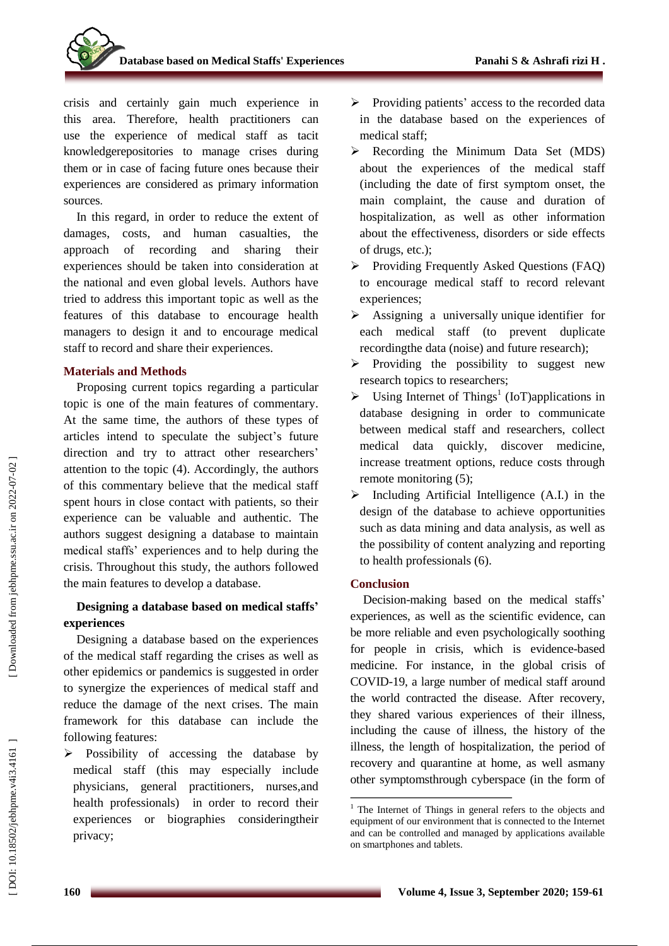crisis and certainly gain much experience in this area . Therefore, health practitioners can use the experience of medical staff as tacit knowledgerepositories to manage crises during them or in case of facing future ones because their experiences are considered as primary information sources .

In this regard, in order to reduce the extent of damages, costs, and human casualties, the approach of recording and sharing their experiences should be taken into consideration at the national and even global levels. Authors have tried to address this important topic as well as the features of this database to encourage health managers to design it and to encourage medical staff to record and share their experiences.

## **Materials and Methods**

Proposing current topics regarding a particular topic is one of the main features of commentary. At the same time, the authors of these type s of articles intend to speculate the subject 's future direction and try to attract other researchers ' attention to the topic ( 4). Accordingly, the authors of this commentary believe that the medical staff spent hours in close contact with patients, so their experience can be valuable and authentic. The authors suggest designing a database to maintain medical staffs' experiences and to help during the crisis. Throughout this study, the authors followed the main features to develop a database.

## **Designing a database based on medical staffs ' experiences**

Designing a database based on the experiences of the medical staff regarding the crises as well as other epidemics or pandemics is suggested in order to synergize the experiences of medical staff and reduce the damage of the next crises. The main framework for this database can include the following features:

 $\triangleright$  Possibility of accessing the database by medical staff (this may especially include physicians, general practitioners, nurses ,and health professionals ) in order to record their experiences or biographies consideringtheir privacy;

- > Providing patients' access to the recorded data in the database based on the experiences of medical staff;
- Recording the Minimum Data Set (MDS) about the experiences of the medical staff (including the date of first symptom onset, the main complaint, the cause and duration of hospitalization, as well as other information about the effectiveness , disorders or side effects of drugs, etc.);
- Providing Frequently Asked Questions (FAQ) to encourage medical staff to record relevant experiences;
- $\blacktriangleright$ Assigning a universally unique identifier for each medical staff (to prevent duplicate recordingthe data (noise) and future research);
- $\triangleright$  Providing the possibility to suggest new research topics to researchers;
- > Using Internet of Things<sup>1</sup> (IoT)applications in database designing in order to communicate between medical staff and researchers, collect medical data quickly, discover medicine, increase treatment options, reduce costs through remote monitoring (5);
- $\triangleright$  Including Artificial Intelligence (A.I.) in the design of the database to achieve opportunities such as data mining and data analysis, as well as the possibility of content analyzing and reporting to health professionals ( 6 ) .

## **Conclusion**

Decision -making based on the medical staffs' experiences , as well as the scientific evidence , can be more reliable and even psychologically soothing for people in crisis, which is evidence -based medicine. For instance, in the global crisis of COVID -19, a large number of medical staff around the world contracted the disease. After recovery, they shared various experiences of their illness, including the cause of illness, the history of the illness, the length of hospitalization, the period of recovery and quarantine at home, as well asmany other symptomsthrough cyberspace (in the form of

Downloaded from jebhpme.ssu.ac.ir on 2022-07-02

 $1$  The Internet of Things in general refers to the objects and equipment of our environment that is connected to the Internet and can be controlled and managed by applications available on smartphones and tablets.